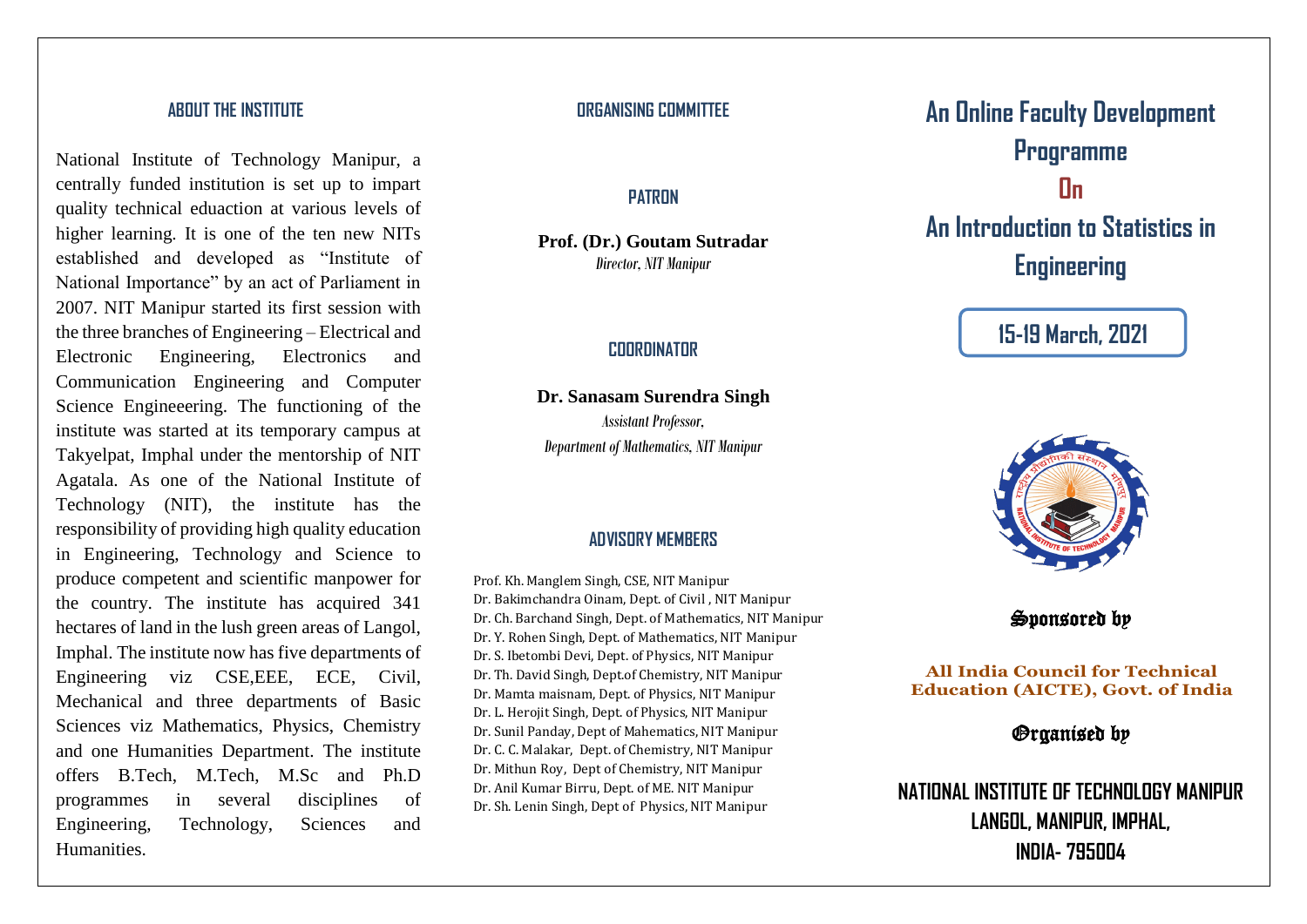# **ABOUT THE INSTITUTE**

National Institute of Technology Manipur, a centrally funded institution is set up to impart quality technical eduaction at various levels of higher learning. It is one of the ten new NITs established and developed as "Institute of National Importance" by an act of Parliament in 2007. NIT Manipur started its first session with the three branches of Engineering – Electrical and Electronic Engineering, Electronics and Communication Engineering and Computer Science Engineeering. The functioning of the institute was started at its temporary campus at Takyelpat, Imphal under the mentorship of NIT Agatala. As one of the National Institute of Technology (NIT), the institute has the responsibility of providing high quality education in Engineering, Technology and Science to produce competent and scientific manpower for the country. The institute has acquired 341 hectares of land in the lush green areas of Langol, Imphal. The institute now has five departments of Engineering viz CSE,EEE, ECE, Civil, Mechanical and three departments of Basic Sciences viz Mathematics, Physics, Chemistry and one Humanities Department. The institute offers B.Tech, M.Tech, M.Sc and Ph.D programmes in several disciplines of Engineering, Technology, Sciences and Humanities.

## **ORGANISING COMMITTEE**

## **PATRON**

**Prof. (Dr.) Goutam Sutradar** *Director, NIT Manipur*

### **COORDINATOR**

**Dr. Sanasam Surendra Singh** *Assistant Professor, Department of Mathematics, NIT Manipur*

### **ADVISORY MEMBERS**

Prof. Kh. Manglem Singh, CSE, NIT Manipur Dr. Bakimchandra Oinam, Dept. of Civil , NIT Manipur Dr. Ch. Barchand Singh, Dept. of Mathematics, NIT Manipur Dr. Y. Rohen Singh, Dept. of Mathematics, NIT Manipur Dr. S. Ibetombi Devi, Dept. of Physics, NIT Manipur Dr. Th. David Singh, Dept.of Chemistry, NIT Manipur Dr. Mamta maisnam, Dept. of Physics, NIT Manipur Dr. L. Herojit Singh, Dept. of Physics, NIT Manipur Dr. Sunil Panday, Dept of Mahematics, NIT Manipur Dr. C. C. Malakar, Dept. of Chemistry, NIT Manipur Dr. Mithun Roy, Dept of Chemistry, NIT Manipur Dr. Anil Kumar Birru, Dept. of ME. NIT Manipur Dr. Sh. Lenin Singh, Dept of Physics, NIT Manipur

**An Online Faculty Development Programme On An Introduction to Statistics in Engineering**

**15-19 March, 2021**

Sponsored by

**All India Council for Technical Education (AICTE), Govt. of India**

*Organised by* 

**NATIONAL INSTITUTE OF TECHNOLOGY MANIPUR LANGOL, MANIPUR, IMPHAL, INDIA- 795004**